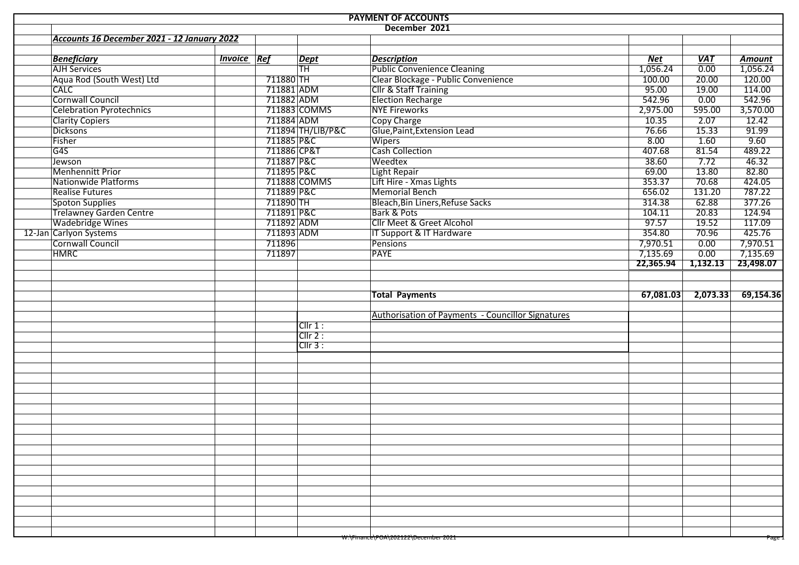|                                             |                    |             |                                     | <b>PAYMENT OF ACCOUNTS</b>                        |            |                   |               |
|---------------------------------------------|--------------------|-------------|-------------------------------------|---------------------------------------------------|------------|-------------------|---------------|
|                                             |                    |             |                                     | December 2021                                     |            |                   |               |
| Accounts 16 December 2021 - 12 January 2022 |                    |             |                                     |                                                   |            |                   |               |
|                                             |                    |             |                                     |                                                   |            |                   |               |
| <b>Beneficiary</b>                          | <b>Invoice Ref</b> |             | <b>Dept</b>                         | <b>Description</b>                                | <b>Net</b> | <b>VAT</b>        | <b>Amount</b> |
| AJH Services                                |                    |             | $\overline{\overline{\mathsf{TH}}}$ | <b>Public Convenience Cleaning</b>                | 1,056.24   | $\overline{0.00}$ | 1,056.24      |
| Aqua Rod (South West) Ltd                   |                    | 711880 TH   |                                     | Clear Blockage - Public Convenience               | 100.00     | 20.00             | 120.00        |
| <b>CALC</b>                                 |                    | 711881 ADM  |                                     | <b>Cllr &amp; Staff Training</b>                  | 95.00      | 19.00             | 114.00        |
| Cornwall Council                            |                    | 711882 ADM  |                                     | <b>Election Recharge</b>                          | 542.96     | 0.00              | 542.96        |
| <b>Celebration Pyrotechnics</b>             |                    |             | 711883 COMMS                        | NYE Fireworks                                     | 2,975.00   | 595.00            | 3,570.00      |
| <b>Clarity Copiers</b>                      |                    | 711884 ADM  |                                     | Copy Charge                                       | 10.35      | 2.07              | 12.42         |
| Dicksons                                    |                    |             | 711894 TH/LIB/P&C                   | Glue, Paint, Extension Lead                       | 76.66      | 15.33             | 91.99         |
| Fisher                                      |                    | 711885 P&C  |                                     | Wipers                                            | 8.00       | 1.60              | 9.60          |
| G4S                                         |                    | 711886 CP&T |                                     | Cash Collection                                   | 407.68     | 81.54             | 489.22        |
| Jewson                                      |                    | 711887 P&C  |                                     | Weedtex                                           | 38.60      | 7.72              | 46.32         |
| <b>Menhennitt Prior</b>                     |                    | 711895 P&C  |                                     | Light Repair                                      | 69.00      | 13.80             | 82.80         |
| Nationwide Platforms                        |                    |             | 711888 COMMS                        | Lift Hire - Xmas Lights                           | 353.37     | 70.68             | 424.05        |
| <b>Realise Futures</b>                      |                    | 711889 P&C  |                                     | Memorial Bench                                    | 656.02     | 131.20            | 787.22        |
| Spoton Supplies                             |                    | 711890 TH   |                                     | Bleach, Bin Liners, Refuse Sacks                  | 314.38     | 62.88             | 377.26        |
| <b>Trelawney Garden Centre</b>              |                    | 711891 P&C  |                                     | Bark & Pots                                       | 104.11     | 20.83             | 124.94        |
| <b>Wadebridge Wines</b>                     |                    | 711892 ADM  |                                     | Cllr Meet & Greet Alcohol                         | 97.57      | 19.52             | 117.09        |
| 12-Jan Carlyon Systems                      |                    | 711893 ADM  |                                     | IT Support & IT Hardware                          | 354.80     | 70.96             | 425.76        |
| Cornwall Council                            |                    | 711896      |                                     | Pensions                                          | 7,970.51   | 0.00              | 7,970.51      |
| <b>HMRC</b>                                 |                    | 711897      |                                     | <b>PAYE</b>                                       | 7,135.69   | 0.00              | 7,135.69      |
|                                             |                    |             |                                     |                                                   | 22,365.94  | 1,132.13          | 23,498.07     |
|                                             |                    |             |                                     |                                                   |            |                   |               |
|                                             |                    |             |                                     |                                                   |            |                   |               |
|                                             |                    |             |                                     | <b>Total Payments</b>                             | 67,081.03  | 7,073.33          | 69,154.36     |
|                                             |                    |             |                                     | Authorisation of Payments - Councillor Signatures |            |                   |               |
|                                             |                    |             | Cllr 1:                             |                                                   |            |                   |               |
|                                             |                    |             | $Cllr$ 2 :                          |                                                   |            |                   |               |
|                                             |                    |             | Clir 3:                             |                                                   |            |                   |               |
|                                             |                    |             |                                     |                                                   |            |                   |               |
|                                             |                    |             |                                     |                                                   |            |                   |               |
|                                             |                    |             |                                     |                                                   |            |                   |               |
|                                             |                    |             |                                     |                                                   |            |                   |               |
|                                             |                    |             |                                     |                                                   |            |                   |               |
|                                             |                    |             |                                     |                                                   |            |                   |               |
|                                             |                    |             |                                     |                                                   |            |                   |               |
|                                             |                    |             |                                     |                                                   |            |                   |               |
|                                             |                    |             |                                     |                                                   |            |                   |               |
|                                             |                    |             |                                     |                                                   |            |                   |               |
|                                             |                    |             |                                     |                                                   |            |                   |               |
|                                             |                    |             |                                     |                                                   |            |                   |               |
|                                             |                    |             |                                     |                                                   |            |                   |               |
|                                             |                    |             |                                     |                                                   |            |                   |               |
|                                             |                    |             |                                     |                                                   |            |                   |               |
|                                             |                    |             |                                     |                                                   |            |                   |               |
|                                             |                    |             |                                     |                                                   |            |                   |               |
|                                             |                    |             |                                     |                                                   |            |                   |               |
|                                             |                    |             |                                     |                                                   |            |                   |               |